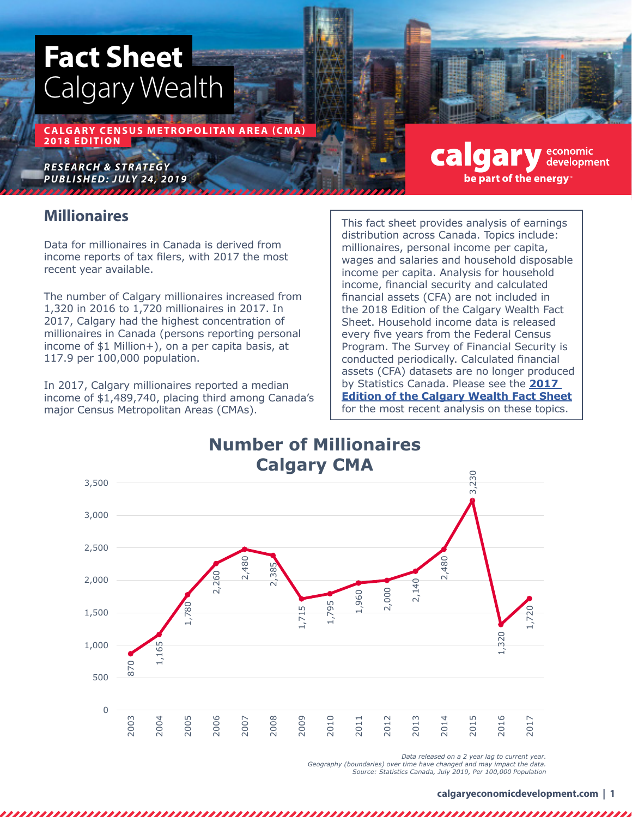# **Fact Sheet** Calgary Wealth

**CALGARY CENSUS METROPOLITAN AREA (CMA) 2018 EDITION**

*RESEARCH & STRATEGY P U B L I S H E D: J U LY 24, 2019*

### **Millionaires**

Data for millionaires in Canada is derived from income reports of tax filers, with 2017 the most recent year available.

The number of Calgary millionaires increased from 1,320 in 2016 to 1,720 millionaires in 2017. In 2017, Calgary had the highest concentration of millionaires in Canada (persons reporting personal income of \$1 Million+), on a per capita basis, at 117.9 per 100,000 population.

In 2017, Calgary millionaires reported a median income of \$1,489,740, placing third among Canada's major Census Metropolitan Areas (CMAs).

This fact sheet provides analysis of earnings distribution across Canada. Topics include: millionaires, personal income per capita, wages and salaries and household disposable income per capita. Analysis for household income, financial security and calculated financial assets (CFA) are not included in the 2018 Edition of the Calgary Wealth Fact Sheet. Household income data is released every five years from the Federal Census Program. The Survey of Financial Security is conducted periodically. Calculated financial assets (CFA) datasets are no longer produced by Statistics Canada. Please see the **[2017](https://www.calgaryeconomicdevelopment.com/research-and-reports/report-library/report-library/)  [Edition of the Calgary Wealth Fact Sheet](https://www.calgaryeconomicdevelopment.com/research-and-reports/report-library/report-library/)** for the most recent analysis on these topics.

calgary

be part of the energy

economic development



*Data released on a 2 year lag to current year.*

*Geography (boundaries) over time have changed and may impact the data. Source: Statistics Canada, July 2019, Per 100,000 Population*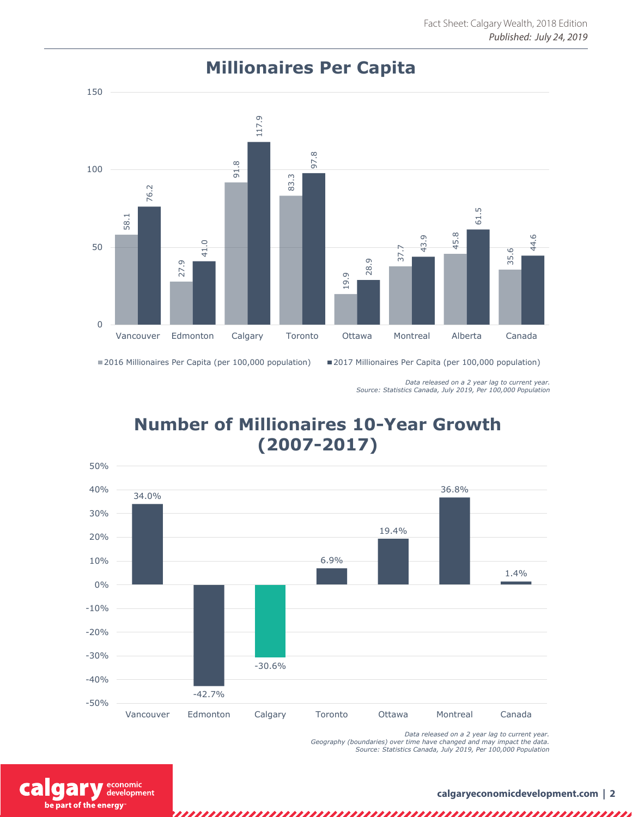

# **Millionaires Per Capita**

2016 Millionaires Per Capita (per 100,000 population) 2017 Millionaires Per Capita (per 100,000 population)

*Data released on a 2 year lag to current year. Source: Statistics Canada, July 2019, Per 100,000 Population*

# **Number of Millionaires 10-Year Growth (2007-2017)**



*Data released on a 2 year lag to current year. Geography (boundaries) over time have changed and may impact the data. Source: Statistics Canada, July 2019, Per 100,000 Population*

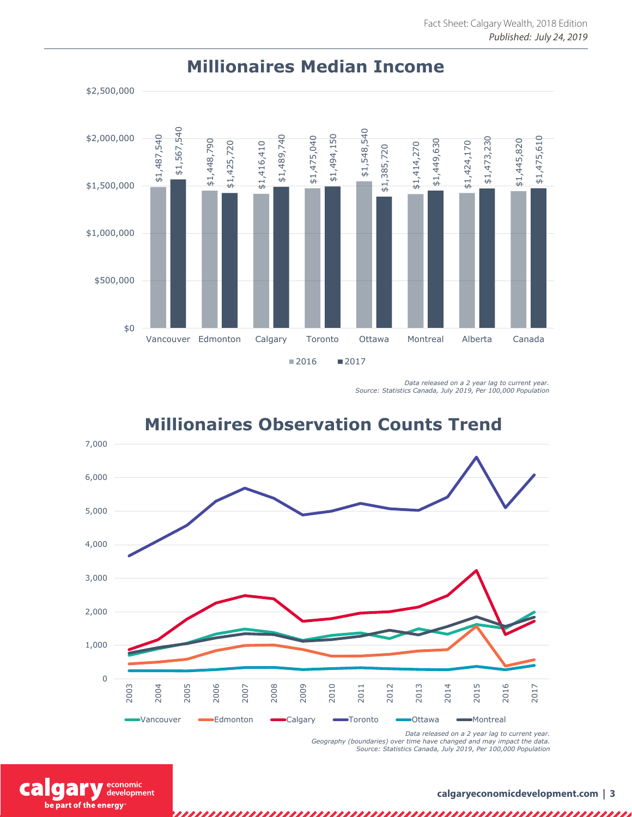

#### **Millionaires Median Income**

*Data released on a 2 year lag to current year. Source: Statistics Canada, July 2019, Per 100,000 Population*



# **Millionaires Observation Counts Trend**

*Data released on a 2 year lag to current year. Geography (boundaries) over time have changed and may impact the data. Source: Statistics Canada, July 2019, Per 100,000 Population*

economic cal development be part of the energy

,,,,,,,,,,,,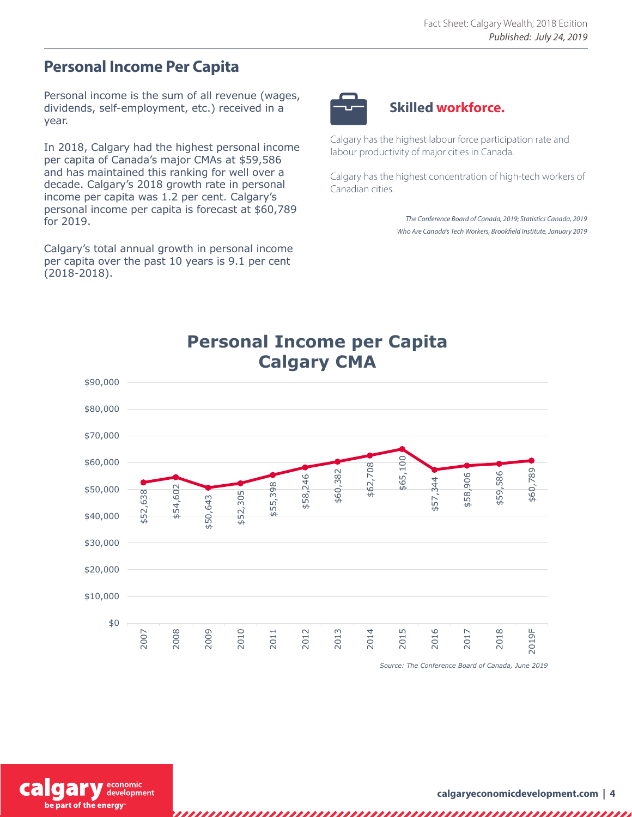### **Personal Income Per Capita**

Personal income is the sum of all revenue (wages, dividends, self-employment, etc.) received in a year.

In 2018, Calgary had the highest personal income per capita of Canada's major CMAs at \$59,586 and has maintained this ranking for well over a decade. Calgary's 2018 growth rate in personal income per capita was 1.2 per cent. Calgary's personal income per capita is forecast at \$60,789 for 2019.

Calgary's total annual growth in personal income per capita over the past 10 years is 9.1 per cent (2018-2018).



#### **Skilled workforce.**

Calgary has the highest labour force participation rate and labour productivity of major cities in Canada.

Calgary has the highest concentration of high-tech workers of Canadian cities.

> *The Conference Board of Canada, 2019; Statistics Canada, 2019 Who Are Canada's Tech Workers, Brookfield Institute, January 2019*



*Source: The Conference Board of Canada, June 2019*

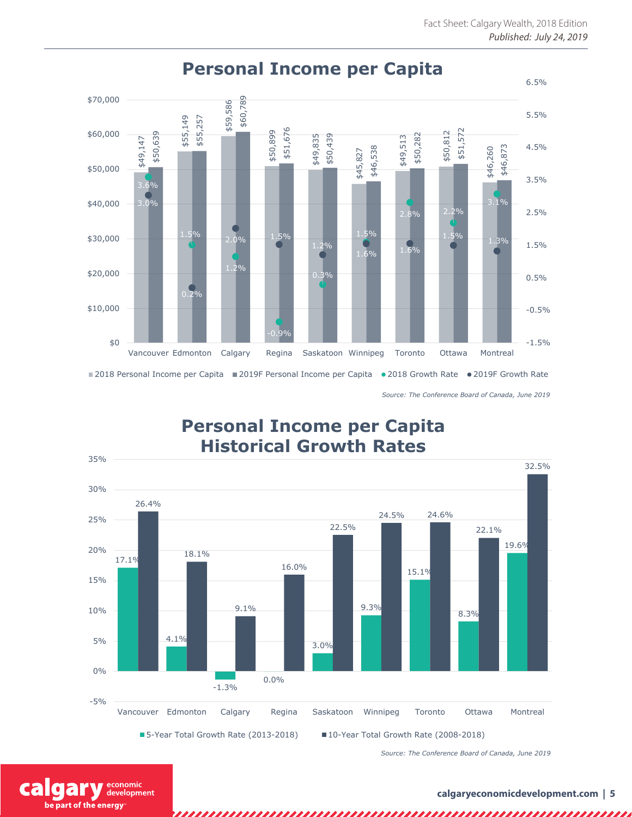

# **Personal Income per Capita**

*Source: The Conference Board of Canada, June 2019*

# **Personal Income per Capita Historical Growth Rates**



*Source: The Conference Board of Canada, June 2019*

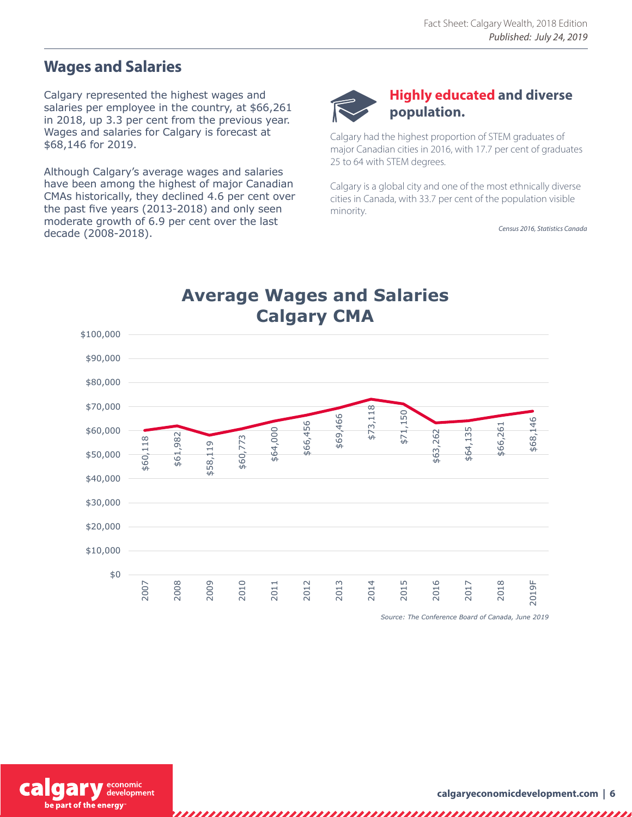### **Wages and Salaries**

Calgary represented the highest wages and salaries per employee in the country, at \$66,261 in 2018, up 3.3 per cent from the previous year. Wages and salaries for Calgary is forecast at \$68,146 for 2019.

Although Calgary's average wages and salaries have been among the highest of major Canadian CMAs historically, they declined 4.6 per cent over the past five years (2013-2018) and only seen moderate growth of 6.9 per cent over the last decade (2008-2018).



### **Highly educated and diverse population.**

Calgary had the highest proportion of STEM graduates of major Canadian cities in 2016, with 17.7 per cent of graduates 25 to 64 with STEM degrees.

Calgary is a global city and one of the most ethnically diverse cities in Canada, with 33.7 per cent of the population visible minority.

*Census 2016, Statistics Canada*



*Source: The Conference Board of Canada, June 2019*



,,,,,,,,,,,,,,,,,,,,,,,,,,,,,,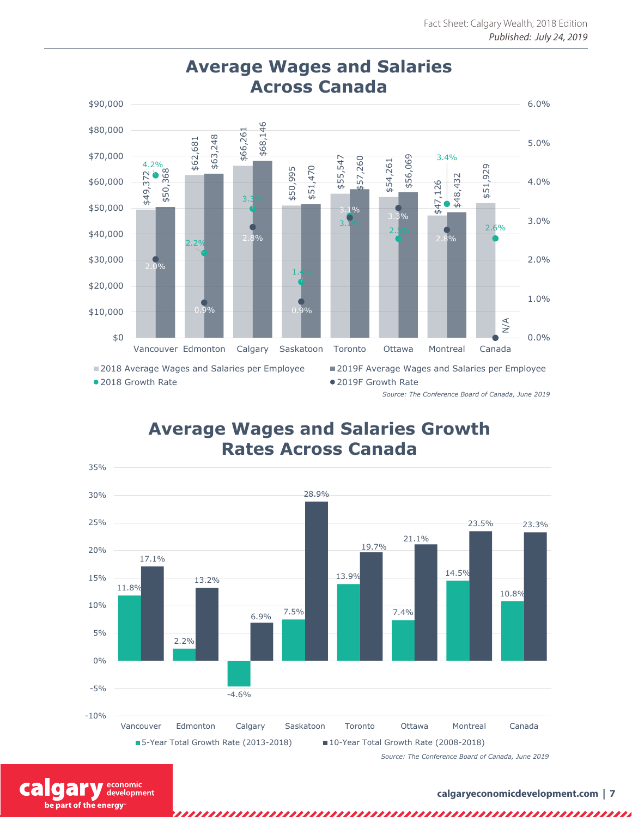

**Average Wages and Salaries** 

*Source: The Conference Board of Canada, June 2019*

### **Average Wages and Salaries Growth Rates Across Canada**